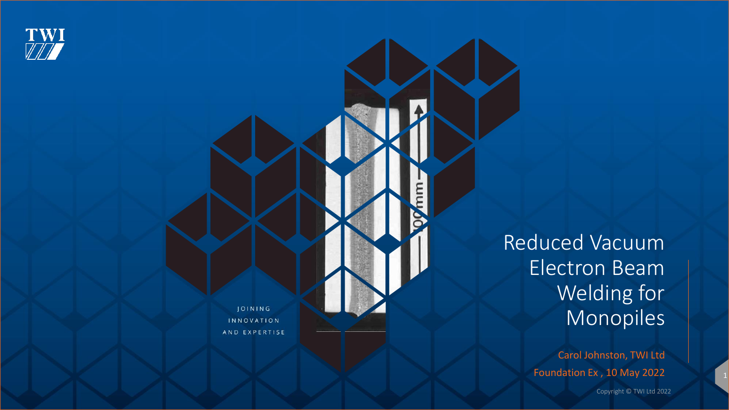

JOINING INNOVATION AND EXPERTISE Reduced Vacuum Electron Beam Welding for Monopiles

> Carol Johnston, TWI Ltd Foundation Ex , 10 May 2022

> > Copyright © TWI Ltd 2022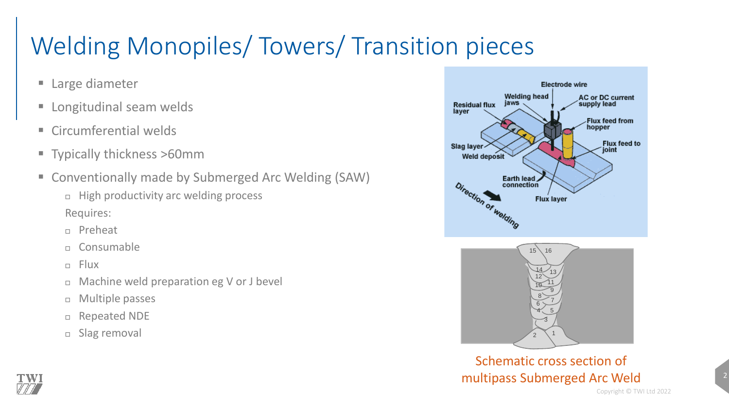# Welding Monopiles/ Towers/ Transition pieces

- Large diameter
- **E** Longitudinal seam welds
- **E** Circumferential welds
- Typically thickness >60mm
- Conventionally made by Submerged Arc Welding (SAW)
	- $\Box$  High productivity arc welding process Requires:
	- Preheat
	- n Consumable
	- $E = F|UX$

l'WI

- □ Machine weld preparation eg V or J bevel
- Multiple passes
- Repeated NDE
- □ Slag removal



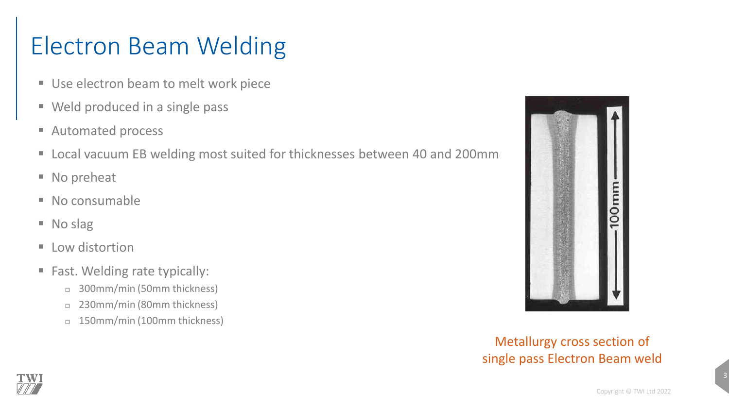## Electron Beam Welding

- Use electron beam to melt work piece
- Weld produced in a single pass
- Automated process
- Local vacuum EB welding most suited for thicknesses between 40 and 200mm
- No preheat
- No consumable
- No slag
- Low distortion
- Fast. Welding rate typically:
	- 300mm/min (50mm thickness)
	- □ 230mm/min (80mm thickness)
	- □ 150mm/min (100mm thickness)



Metallurgy cross section of single pass Electron Beam weld

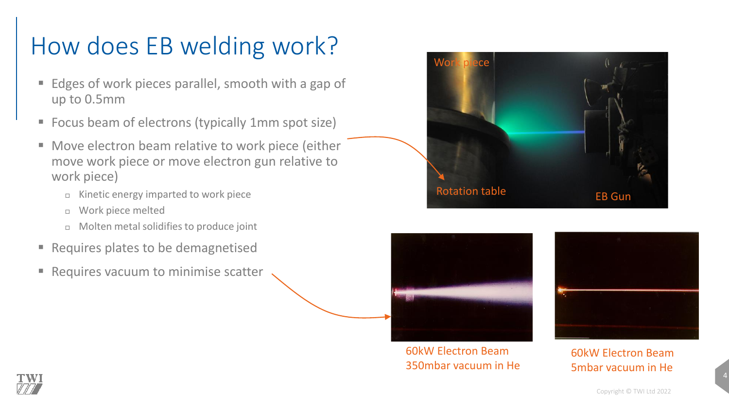## How does EB welding work?

- Edges of work pieces parallel, smooth with a gap of up to 0.5mm
- Focus beam of electrons (typically 1mm spot size)
- Move electron beam relative to work piece (either move work piece or move electron gun relative to work piece)
	- $\Box$  Kinetic energy imparted to work piece
	- Work piece melted
	- Molten metal solidifies to produce joint
- Requires plates to be demagnetised
- Requires vacuum to minimise scatter





60kW Electron Beam 350mbar vacuum in He



60kW Electron Beam 5mbar vacuum in He

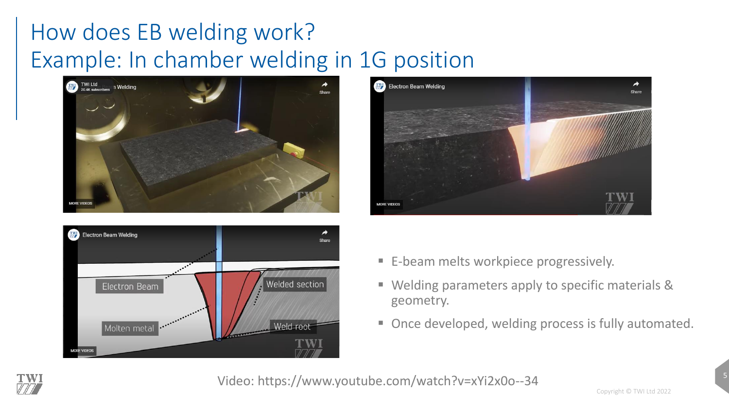#### How does EB welding work? Example: In chamber welding in 1G position







- E-beam melts workpiece progressively.
- Welding parameters apply to specific materials & geometry.
- Once developed, welding process is fully automated.



Video: https://www.youtube.com/watch?v=xYi2x0o--34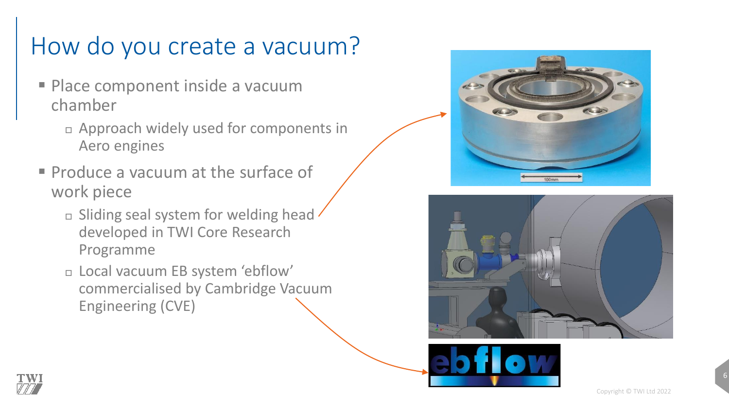### How do you create a vacuum?

- **Place component inside a vacuum** chamber
	- Approach widely used for components in Aero engines
- **Produce a vacuum at the surface of** work piece
	- $\Box$  Sliding seal system for welding head developed in TWI Core Research Programme
	- Local vacuum EB system 'ebflow' commercialised by Cambridge Vacuum Engineering (CVE)







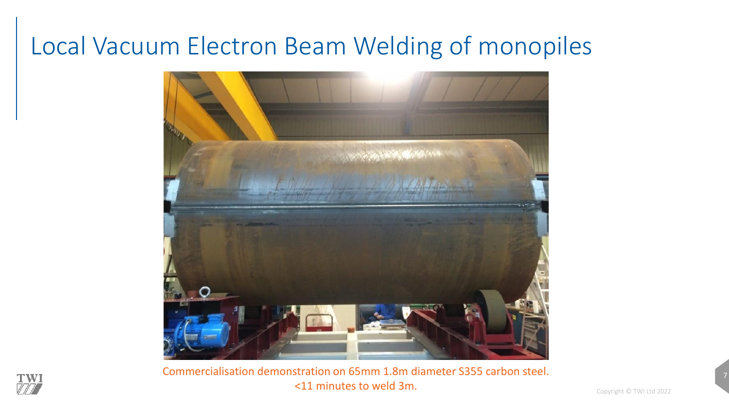#### Local Vacuum Electron Beam Welding of monopiles



Commercialisation demonstration on 65mm 1.8m diameter S355 carbon steel. <11 minutes to weld 3m.

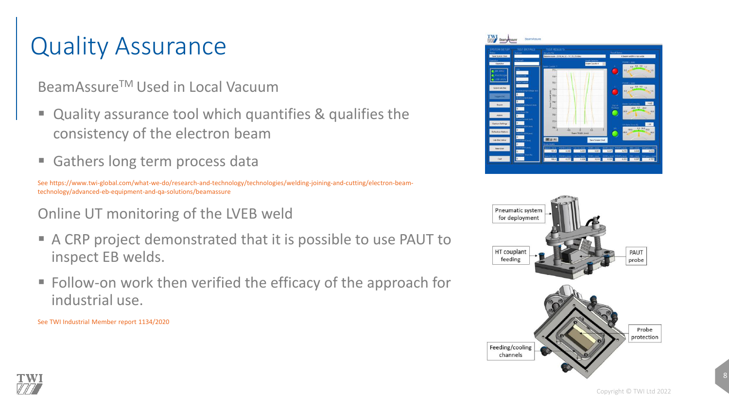#### Quality Assurance

BeamAssure™ Used in Local Vacuum

- Quality assurance tool which quantifies & qualifies the consistency of the electron beam
- Gathers long term process data

See https://www.twi-global.com/what-we-do/research-and-technology/technologies/welding-joining-and-cutting/electron-beamtechnology/advanced-eb-equipment-and-qa-solutions/beamassure

Online UT monitoring of the LVEB weld

- A CRP project demonstrated that it is possible to use PAUT to inspect EB welds.
- Follow-on work then verified the efficacy of the approach for industrial use.

See TWI Industrial Member report 1134/2020





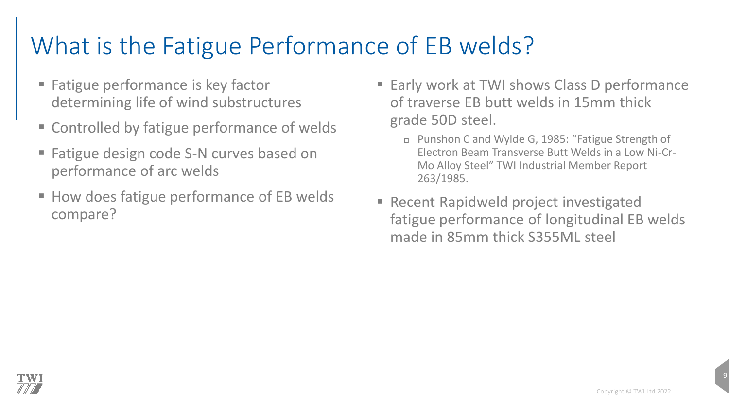## What is the Fatigue Performance of EB welds?

- Fatigue performance is key factor determining life of wind substructures
- Controlled by fatigue performance of welds
- Fatigue design code S-N curves based on performance of arc welds
- How does fatigue performance of EB welds compare?
- Early work at TWI shows Class D performance of traverse EB butt welds in 15mm thick grade 50D steel.
	- Punshon C and Wylde G, 1985: "Fatigue Strength of Electron Beam Transverse Butt Welds in a Low Ni-Cr-Mo Alloy Steel" TWI Industrial Member Report 263/1985.
- Recent Rapidweld project investigated fatigue performance of longitudinal EB welds made in 85mm thick S355ML steel

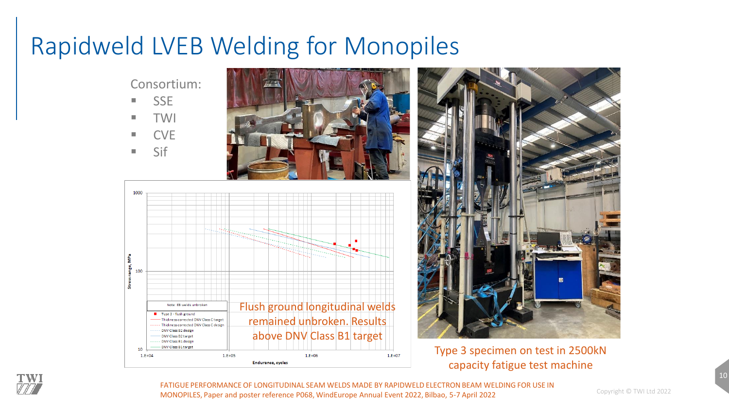#### Rapidweld LVEB Welding for Monopiles

Consortium:

- 
- 
- 
- 





Type 3 specimen on test in 2500kN capacity fatigue test machine



FATIGUE PERFORMANCE OF LONGITUDINAL SEAM WELDS MADE BY RAPIDWELD ELECTRON BEAM WELDING FOR USE IN MONOPILES, Paper and poster reference P068, WindEurope Annual Event 2022, Bilbao, 5-7 April 2022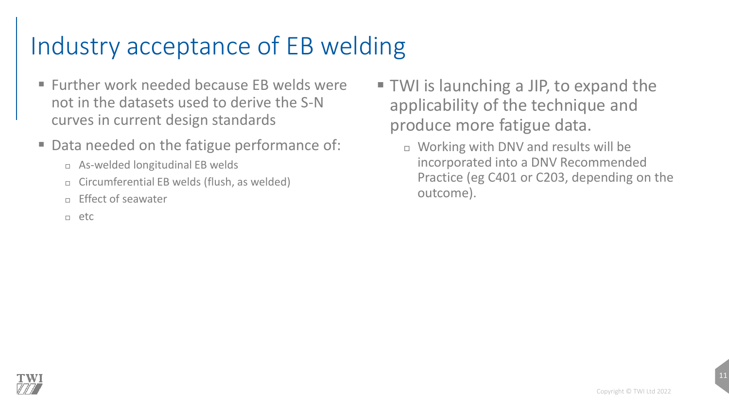#### Industry acceptance of EB welding

- $\blacksquare$  Further work needed because FB welds were not in the datasets used to derive the S-N curves in current design standards
- Data needed on the fatigue performance of:
	- As-welded longitudinal EB welds
	- $\Box$  Circumferential EB welds (flush, as welded)
	- $E$ Fffect of seawater
	- etc
- TWI is launching a JIP, to expand the applicability of the technique and produce more fatigue data.
	- □ Working with DNV and results will be incorporated into a DNV Recommended Practice (eg C401 or C203, depending on the outcome).